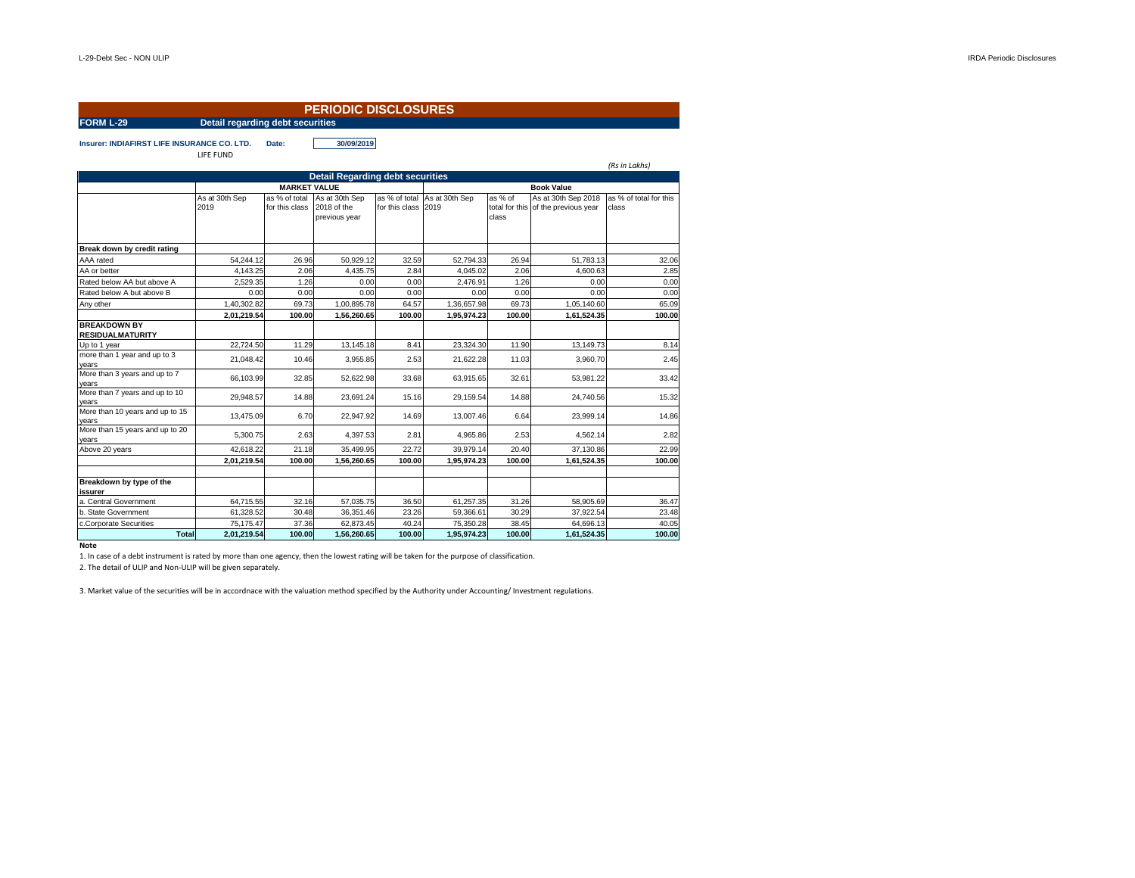|                                                    |                        |                                         | <b>PERIODIC DISCLOSURES</b>                    |                     |                              |                  |                                                            |                                 |  |  |
|----------------------------------------------------|------------------------|-----------------------------------------|------------------------------------------------|---------------------|------------------------------|------------------|------------------------------------------------------------|---------------------------------|--|--|
| FORM L-29                                          |                        | Detail regarding debt securities        |                                                |                     |                              |                  |                                                            |                                 |  |  |
| <b>Insurer: INDIAFIRST LIFE INSURANCE CO. LTD.</b> | LIFE FUND              | 30/09/2019<br>Date:                     |                                                |                     |                              |                  |                                                            | (Rs in Lakhs)                   |  |  |
|                                                    |                        | <b>Detail Regarding debt securities</b> |                                                |                     |                              |                  |                                                            |                                 |  |  |
|                                                    |                        | <b>MARKET VALUE</b>                     |                                                |                     |                              |                  |                                                            |                                 |  |  |
|                                                    | As at 30th Sep<br>2019 | as % of total<br>for this class         | As at 30th Sep<br>2018 of the<br>previous year | for this class 2019 | as % of total As at 30th Sep | as % of<br>class | As at 30th Sep 2018<br>total for this of the previous year | as % of total for this<br>class |  |  |
| Break down by credit rating                        |                        |                                         |                                                |                     |                              |                  |                                                            |                                 |  |  |
| AAA rated                                          | 54.244.12              | 26.96                                   | 50,929.12                                      | 32.59               | 52,794.33                    | 26.94            | 51.783.13                                                  | 32.06                           |  |  |
| AA or better                                       | 4.143.25               | 2.06                                    | 4,435.75                                       | 2.84                | 4,045.02                     | 2.06             | 4.600.63                                                   | 2.85                            |  |  |
| Rated below AA but above A                         | 2,529.35               | 1.26                                    | 0.00                                           | 0.00                | 2,476.91                     | 1.26             | 0.00                                                       | 0.00                            |  |  |
| Rated below A but above B                          | 0.00                   | 0.00                                    | 0.00                                           | 0.00                | 0.00                         | 0.00             | 0.00                                                       | 0.00                            |  |  |
| Any other                                          | 1,40,302.82            | 69.73                                   | 1,00,895.78                                    | 64.57               | 1,36,657.98                  | 69.73            | 1,05,140.60                                                | 65.09                           |  |  |
|                                                    | 2,01,219.54            | 100.00                                  | 1,56,260.65                                    | 100.00              | 1,95,974.23                  | 100.00           | 1,61,524.35                                                | 100.00                          |  |  |
| <b>BREAKDOWN BY</b><br><b>RESIDUALMATURITY</b>     |                        |                                         |                                                |                     |                              |                  |                                                            |                                 |  |  |
| Up to 1 year                                       | 22,724.50              | 11.29                                   | 13,145.18                                      | 8.41                | 23,324.30                    | 11.90            | 13,149.73                                                  | 8.14                            |  |  |
| more than 1 year and up to 3<br>years              | 21,048.42              | 10.46                                   | 3,955.85                                       | 2.53                | 21.622.28                    | 11.03            | 3,960.70                                                   | 2.45                            |  |  |
| More than 3 years and up to 7<br>years             | 66,103.99              | 32.85                                   | 52,622.98                                      | 33.68               | 63,915.65                    | 32.61            | 53,981.22                                                  | 33.42                           |  |  |
| More than 7 years and up to 10<br>years            | 29.948.57              | 14.88                                   | 23.691.24                                      | 15.16               | 29.159.54                    | 14.88            | 24,740.56                                                  | 15.32                           |  |  |
| More than 10 years and up to 15<br>years           | 13,475.09              | 6.70                                    | 22,947.92                                      | 14.69               | 13,007.46                    | 6.64             | 23,999.14                                                  | 14.86                           |  |  |
| More than 15 years and up to 20<br>vears           | 5.300.75               | 2.63                                    | 4.397.53                                       | 2.81                | 4.965.86                     | 2.53             | 4.562.14                                                   | 2.82                            |  |  |
| Above 20 years                                     | 42,618.22              | 21.18                                   | 35,499.95                                      | 22.72               | 39,979.14                    | 20.40            | 37,130.86                                                  | 22.99                           |  |  |
|                                                    | 2,01,219.54            | 100.00                                  | 1,56,260.65                                    | 100.00              | 1,95,974.23                  | 100.00           | 1,61,524.35                                                | 100.00                          |  |  |
| Breakdown by type of the<br>issurer                |                        |                                         |                                                |                     |                              |                  |                                                            |                                 |  |  |
| a. Central Government                              | 64,715.55              | 32.16                                   | 57.035.75                                      | 36.50               | 61,257.35                    | 31.26            | 58.905.69                                                  | 36.47                           |  |  |
| b. State Government                                | 61,328.52              | 30.48                                   | 36,351.46                                      | 23.26               | 59,366.61                    | 30.29            | 37,922.54                                                  | 23.48                           |  |  |
| c.Corporate Securities                             | 75,175.47              | 37.36                                   | 62,873.45                                      | 40.24               | 75,350.28                    | 38.45            | 64,696.13                                                  | 40.05                           |  |  |
| <b>Total</b>                                       | 2,01,219.54            | 100.00                                  | 1,56,260.65                                    | 100.00              | 1,95,974.23                  | 100.00           | 1,61,524.35                                                | 100.00                          |  |  |

**Note**

1. In case of a debt instrument is rated by more than one agency, then the lowest rating will be taken for the purpose of classification. 2. The detail of ULIP and Non-ULIP will be given separately.

3. Market value of the securities will be in accordnace with the valuation method specified by the Authority under Accounting/ Investment regulations.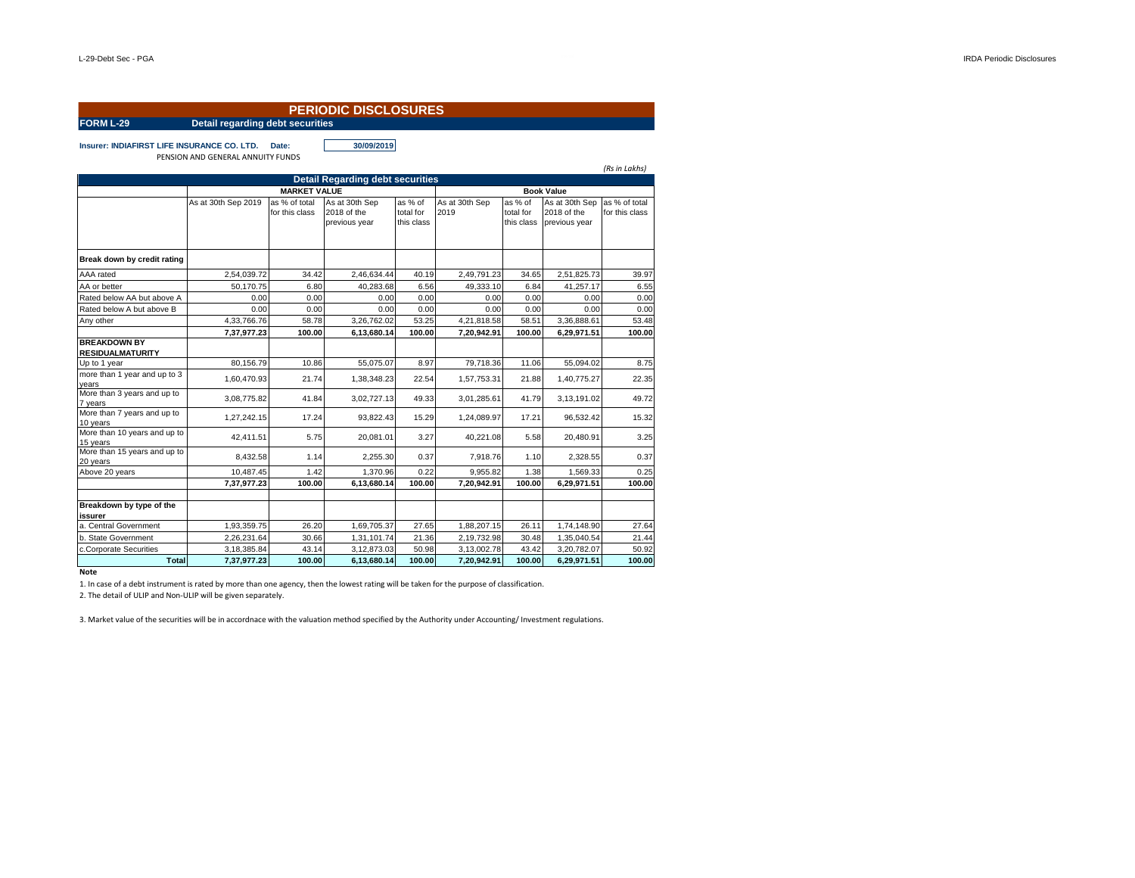|                                                |                                         |                                 | <b>PERIODIC DISCLOSURES</b>                    |                                    |                        |                                    |                                                |                                 |  |
|------------------------------------------------|-----------------------------------------|---------------------------------|------------------------------------------------|------------------------------------|------------------------|------------------------------------|------------------------------------------------|---------------------------------|--|
| <b>FORM L-29</b>                               | <b>Detail regarding debt securities</b> |                                 |                                                |                                    |                        |                                    |                                                |                                 |  |
| Insurer: INDIAFIRST LIFE INSURANCE CO. LTD.    | PENSION AND GENERAL ANNUITY FUNDS       | Date:                           | 30/09/2019                                     |                                    |                        |                                    |                                                | (Rs in Lakhs)                   |  |
|                                                |                                         |                                 | <b>Detail Regarding debt securities</b>        |                                    |                        |                                    |                                                |                                 |  |
|                                                |                                         | <b>MARKET VALUE</b>             |                                                | <b>Book Value</b>                  |                        |                                    |                                                |                                 |  |
|                                                | As at 30th Sep 2019                     | as % of total<br>for this class | As at 30th Sep<br>2018 of the<br>previous year | as % of<br>total for<br>this class | As at 30th Sep<br>2019 | as % of<br>total for<br>this class | As at 30th Sep<br>2018 of the<br>previous year | as % of total<br>for this class |  |
| Break down by credit rating                    |                                         |                                 |                                                |                                    |                        |                                    |                                                |                                 |  |
| AAA rated                                      | 2,54,039.72                             | 34.42                           | 2,46,634.44                                    | 40.19                              | 2,49,791.23            | 34.65                              | 2,51,825.73                                    | 39.97                           |  |
| AA or better                                   | 50.170.75                               | 6.80                            | 40.283.68                                      | 6.56                               | 49.333.10              | 6.84                               | 41.257.17                                      | 6.55                            |  |
| Rated below AA but above A                     | 0.00                                    | 0.00                            | 0.00                                           | 0.00                               | 0.00                   | 0.00                               | 0.00                                           | 0.00                            |  |
| Rated below A but above B                      | 0.00                                    | 0.00                            | 0.00                                           | 0.00                               | 0.00                   | 0.00                               | 0.00                                           | 0.00                            |  |
| Any other                                      | 4,33,766.76                             | 58.78                           | 3,26,762.02                                    | 53.25                              | 4,21,818.58            | 58.51                              | 3,36,888.61                                    | 53.48                           |  |
|                                                | 7,37,977.23                             | 100.00                          | 6,13,680.14                                    | 100.00                             | 7,20,942.91            | 100.00                             | 6,29,971.51                                    | 100.00                          |  |
| <b>BREAKDOWN BY</b><br><b>RESIDUALMATURITY</b> |                                         |                                 |                                                |                                    |                        |                                    |                                                |                                 |  |
| Up to 1 year                                   | 80.156.79                               | 10.86                           | 55,075.07                                      | 8.97                               | 79,718.36              | 11.06                              | 55,094.02                                      | 8.75                            |  |
| more than 1 year and up to 3<br>years          | 1,60,470.93                             | 21.74                           | 1,38,348.23                                    | 22.54                              | 1,57,753.31            | 21.88                              | 1,40,775.27                                    | 22.35                           |  |
| More than 3 years and up to<br>7 years         | 3,08,775.82                             | 41.84                           | 3,02,727.13                                    | 49.33                              | 3,01,285.61            | 41.79                              | 3,13,191.02                                    | 49.72                           |  |
| More than 7 years and up to<br>10 years        | 1,27,242.15                             | 17.24                           | 93.822.43                                      | 15.29                              | 1,24,089.97            | 17.21                              | 96,532.42                                      | 15.32                           |  |
| More than 10 years and up to<br>15 years       | 42.411.51                               | 5.75                            | 20.081.01                                      | 3.27                               | 40.221.08              | 5.58                               | 20.480.91                                      | 3.25                            |  |
| More than 15 years and up to<br>20 years       | 8.432.58                                | 1.14                            | 2.255.30                                       | 0.37                               | 7.918.76               | 1.10                               | 2.328.55                                       | 0.37                            |  |
| Above 20 years                                 | 10.487.45                               | 1.42                            | 1.370.96                                       | 0.22                               | 9.955.82               | 1.38                               | 1.569.33                                       | 0.25                            |  |
|                                                | 7,37,977.23                             | 100.00                          | 6,13,680.14                                    | 100.00                             | 7,20,942.91            | 100.00                             | 6,29,971.51                                    | 100.00                          |  |
| Breakdown by type of the<br>issurer            |                                         |                                 |                                                |                                    |                        |                                    |                                                |                                 |  |
| a. Central Government                          | 1,93,359.75                             | 26.20                           | 1,69,705.37                                    | 27.65                              | 1,88,207.15            | 26.11                              | 1,74,148.90                                    | 27.64                           |  |
| b. State Government                            | 2,26,231.64                             | 30.66                           | 1,31,101.74                                    | 21.36                              | 2,19,732.98            | 30.48                              | 1,35,040.54                                    | 21.44                           |  |
| c.Corporate Securities                         | 3,18,385.84                             | 43.14                           | 3,12,873.03                                    | 50.98                              | 3,13,002.78            | 43.42                              | 3,20,782.07                                    | 50.92                           |  |

**Note**

1. In case of a debt instrument is rated by more than one agency, then the lowest rating will be taken for the purpose of classification.

2. The detail of ULIP and Non-ULIP will be given separately.

3. Market value of the securities will be in accordnace with the valuation method specified by the Authority under Accounting/ Investment regulations.

**Total 7,37,977.23 100.00 6,13,680.14 100.00 7,20,942.91 100.00 6,29,971.51 100.00**